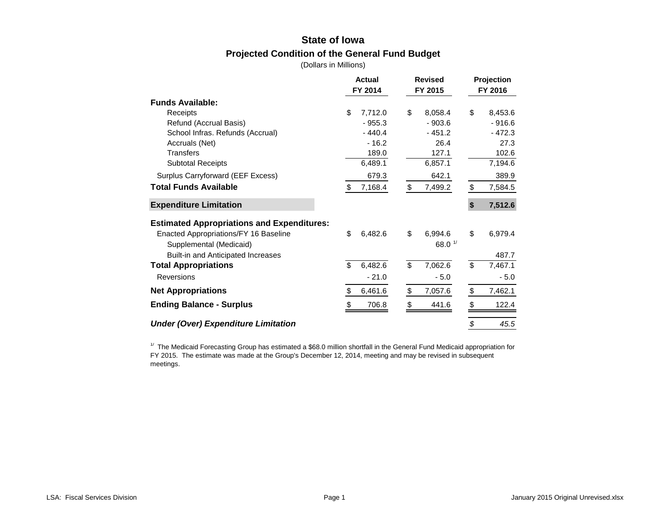# **State of Iowa Projected Condition of the General Fund Budget**

(Dollars in Millions)

|                                                   | <b>Actual</b> | <b>Revised</b> | Projection<br>FY 2016 |          |  |
|---------------------------------------------------|---------------|----------------|-----------------------|----------|--|
|                                                   | FY 2014       | FY 2015        |                       |          |  |
| <b>Funds Available:</b>                           |               |                |                       |          |  |
| Receipts                                          | \$<br>7,712.0 | \$<br>8,058.4  | \$                    | 8,453.6  |  |
| Refund (Accrual Basis)                            | $-955.3$      | $-903.6$       |                       | $-916.6$ |  |
| School Infras. Refunds (Accrual)                  | $-440.4$      | $-451.2$       |                       | $-472.3$ |  |
| Accruals (Net)                                    | $-16.2$       | 26.4           |                       | 27.3     |  |
| <b>Transfers</b>                                  | 189.0         | 127.1          |                       | 102.6    |  |
| <b>Subtotal Receipts</b>                          | 6,489.1       | 6,857.1        |                       | 7,194.6  |  |
| Surplus Carryforward (EEF Excess)                 | 679.3         | 642.1          |                       | 389.9    |  |
| <b>Total Funds Available</b>                      | \$<br>7,168.4 | \$<br>7,499.2  | \$                    | 7,584.5  |  |
| <b>Expenditure Limitation</b>                     |               |                | \$                    | 7,512.6  |  |
| <b>Estimated Appropriations and Expenditures:</b> |               |                |                       |          |  |
| Enacted Appropriations/FY 16 Baseline             | \$<br>6,482.6 | \$<br>6,994.6  | \$                    | 6,979.4  |  |
| Supplemental (Medicaid)                           |               | 68.0 $1/$      |                       |          |  |
| Built-in and Anticipated Increases                |               |                |                       | 487.7    |  |
| <b>Total Appropriations</b>                       | \$<br>6,482.6 | \$<br>7,062.6  | \$                    | 7,467.1  |  |
| <b>Reversions</b>                                 | $-21.0$       | $-5.0$         |                       | $-5.0$   |  |
| <b>Net Appropriations</b>                         | 6,461.6<br>\$ | \$<br>7,057.6  | \$                    | 7,462.1  |  |
| <b>Ending Balance - Surplus</b>                   | 706.8         | \$<br>441.6    | \$                    | 122.4    |  |
| <b>Under (Over) Expenditure Limitation</b>        |               |                | \$                    | 45.5     |  |

 $1/$  The Medicaid Forecasting Group has estimated a \$68.0 million shortfall in the General Fund Medicaid appropriation for FY 2015. The estimate was made at the Group's December 12, 2014, meeting and may be revised in subsequent meetings.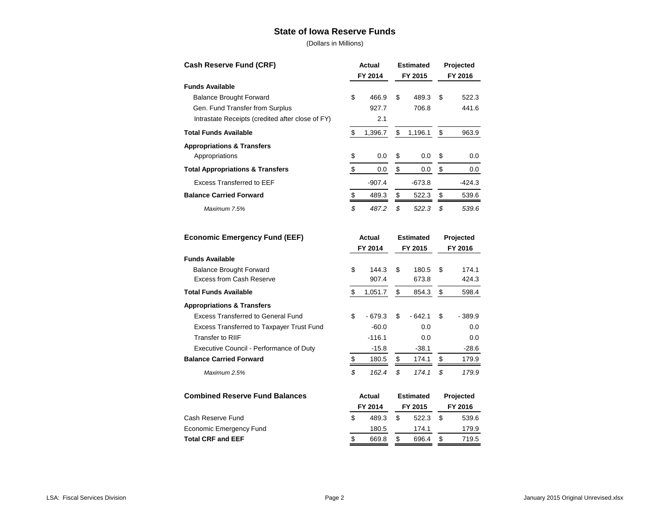#### **State of Iowa Reserve Funds**

| Cash Reserve Fund (CRF)                          | Actual             |          | <b>Estimated</b><br>FY 2014<br>FY 2015 |                  |    | Projected<br>FY 2016 |  |  |  |  |  |  |  |  |  |  |  |  |  |  |                  |  |  |           |  |
|--------------------------------------------------|--------------------|----------|----------------------------------------|------------------|----|----------------------|--|--|--|--|--|--|--|--|--|--|--|--|--|--|------------------|--|--|-----------|--|
| <b>Funds Available</b>                           |                    |          |                                        |                  |    |                      |  |  |  |  |  |  |  |  |  |  |  |  |  |  |                  |  |  |           |  |
| <b>Balance Brought Forward</b>                   | \$                 | 466.9    | \$                                     | 489.3            | \$ | 522.3                |  |  |  |  |  |  |  |  |  |  |  |  |  |  |                  |  |  |           |  |
| Gen. Fund Transfer from Surplus                  |                    | 927.7    |                                        | 706.8            |    | 441.6                |  |  |  |  |  |  |  |  |  |  |  |  |  |  |                  |  |  |           |  |
| Intrastate Receipts (credited after close of FY) |                    | 2.1      |                                        |                  |    |                      |  |  |  |  |  |  |  |  |  |  |  |  |  |  |                  |  |  |           |  |
| <b>Total Funds Available</b>                     | \$                 | 1,396.7  | \$                                     | 1,196.1          | \$ | 963.9                |  |  |  |  |  |  |  |  |  |  |  |  |  |  |                  |  |  |           |  |
| <b>Appropriations &amp; Transfers</b>            |                    |          |                                        |                  |    |                      |  |  |  |  |  |  |  |  |  |  |  |  |  |  |                  |  |  |           |  |
| Appropriations                                   | \$                 | 0.0      | \$                                     | 0.0              | \$ | 0.0                  |  |  |  |  |  |  |  |  |  |  |  |  |  |  |                  |  |  |           |  |
| <b>Total Appropriations &amp; Transfers</b>      | \$                 | 0.0      | \$                                     | 0.0              | \$ | 0.0                  |  |  |  |  |  |  |  |  |  |  |  |  |  |  |                  |  |  |           |  |
| <b>Excess Transferred to EEF</b>                 |                    | $-907.4$ |                                        | $-673.8$         |    | $-424.3$             |  |  |  |  |  |  |  |  |  |  |  |  |  |  |                  |  |  |           |  |
| <b>Balance Carried Forward</b>                   | \$                 | 489.3    | \$                                     | 522.3            | \$ | 539.6                |  |  |  |  |  |  |  |  |  |  |  |  |  |  |                  |  |  |           |  |
| Maximum 7.5%                                     | \$                 | 487.2    | \$                                     | 522.3            | \$ | 539.6                |  |  |  |  |  |  |  |  |  |  |  |  |  |  |                  |  |  |           |  |
| <b>Economic Emergency Fund (EEF)</b>             |                    | Actual   |                                        | <b>Estimated</b> |    | Projected            |  |  |  |  |  |  |  |  |  |  |  |  |  |  |                  |  |  |           |  |
|                                                  | FY 2014<br>FY 2015 |          |                                        | FY 2016          |    |                      |  |  |  |  |  |  |  |  |  |  |  |  |  |  |                  |  |  |           |  |
| <b>Funds Available</b>                           |                    |          |                                        |                  |    |                      |  |  |  |  |  |  |  |  |  |  |  |  |  |  |                  |  |  |           |  |
| <b>Balance Brought Forward</b>                   | \$                 | 144.3    | \$                                     | 180.5            | \$ | 174.1                |  |  |  |  |  |  |  |  |  |  |  |  |  |  |                  |  |  |           |  |
| <b>Excess from Cash Reserve</b>                  |                    | 907.4    |                                        | 673.8            |    | 424.3                |  |  |  |  |  |  |  |  |  |  |  |  |  |  |                  |  |  |           |  |
| <b>Total Funds Available</b>                     | \$                 | 1,051.7  | \$                                     | 854.3            | \$ | 598.4                |  |  |  |  |  |  |  |  |  |  |  |  |  |  |                  |  |  |           |  |
| <b>Appropriations &amp; Transfers</b>            |                    |          |                                        |                  |    |                      |  |  |  |  |  |  |  |  |  |  |  |  |  |  |                  |  |  |           |  |
| <b>Excess Transferred to General Fund</b>        | \$                 | $-679.3$ | \$                                     | $-642.1$         | \$ | $-389.9$             |  |  |  |  |  |  |  |  |  |  |  |  |  |  |                  |  |  |           |  |
| Excess Transferred to Taxpayer Trust Fund        |                    | $-60.0$  |                                        | 0.0              |    | 0.0                  |  |  |  |  |  |  |  |  |  |  |  |  |  |  |                  |  |  |           |  |
| <b>Transfer to RIIF</b>                          |                    | $-116.1$ |                                        | 0.0              |    | 0.0                  |  |  |  |  |  |  |  |  |  |  |  |  |  |  |                  |  |  |           |  |
| Executive Council - Performance of Duty          |                    | $-15.8$  |                                        | $-38.1$          |    | $-28.6$              |  |  |  |  |  |  |  |  |  |  |  |  |  |  |                  |  |  |           |  |
| <b>Balance Carried Forward</b>                   | $\frac{1}{2}$      | 180.5    | \$                                     | 174.1            | \$ | 179.9                |  |  |  |  |  |  |  |  |  |  |  |  |  |  |                  |  |  |           |  |
| Maximum 2.5%                                     | $\mathfrak{s}$     | 162.4    | \$                                     | 174.1            | \$ | 179.9                |  |  |  |  |  |  |  |  |  |  |  |  |  |  |                  |  |  |           |  |
| <b>Combined Reserve Fund Balances</b>            | Actual             |          |                                        |                  |    |                      |  |  |  |  |  |  |  |  |  |  |  |  |  |  | <b>Estimated</b> |  |  | Projected |  |
|                                                  |                    | FY 2014  |                                        | FY 2015          |    | FY 2016              |  |  |  |  |  |  |  |  |  |  |  |  |  |  |                  |  |  |           |  |
| Cash Reserve Fund                                | \$                 | 489.3    | \$                                     | 522.3            | \$ | 539.6                |  |  |  |  |  |  |  |  |  |  |  |  |  |  |                  |  |  |           |  |
| Economic Emergency Fund                          |                    | 180.5    |                                        | 174.1            |    | 179.9                |  |  |  |  |  |  |  |  |  |  |  |  |  |  |                  |  |  |           |  |
| <b>Total CRF and EEF</b>                         | \$                 | 669.8    | \$                                     | 696.4            | \$ | 719.5                |  |  |  |  |  |  |  |  |  |  |  |  |  |  |                  |  |  |           |  |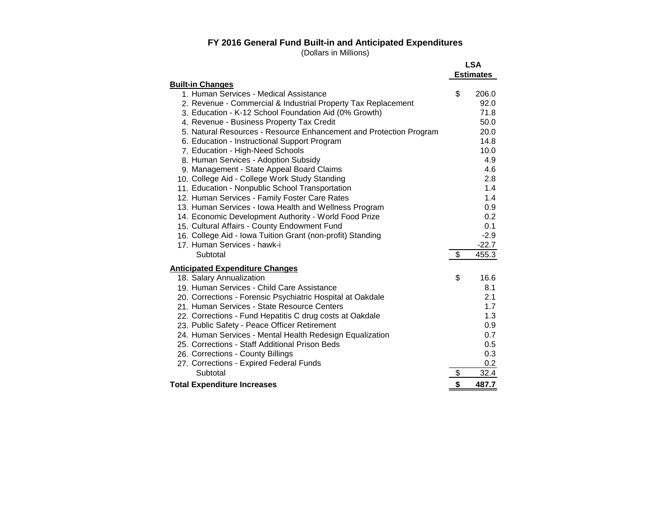#### **FY 2016 General Fund Built-in and Anticipated Expenditures**

|                                                                    | <b>LSA</b><br><b>Estimates</b> |
|--------------------------------------------------------------------|--------------------------------|
| <b>Built-in Changes</b>                                            |                                |
| 1. Human Services - Medical Assistance                             | \$<br>206.0                    |
| 2. Revenue - Commercial & Industrial Property Tax Replacement      | 92.0                           |
| 3. Education - K-12 School Foundation Aid (0% Growth)              | 71.8                           |
| 4. Revenue - Business Property Tax Credit                          | 50.0                           |
| 5. Natural Resources - Resource Enhancement and Protection Program | 20.0                           |
| 6. Education - Instructional Support Program                       | 14.8                           |
| 7. Education - High-Need Schools                                   | 10.0                           |
| 8. Human Services - Adoption Subsidy                               | 4.9                            |
| 9. Management - State Appeal Board Claims                          | 4.6                            |
| 10. College Aid - College Work Study Standing                      | 2.8                            |
| 11. Education - Nonpublic School Transportation                    | 1.4                            |
| 12. Human Services - Family Foster Care Rates                      | 1.4                            |
| 13. Human Services - Iowa Health and Wellness Program              | 0.9                            |
| 14. Economic Development Authority - World Food Prize              | 0.2                            |
| 15. Cultural Affairs - County Endowment Fund                       | 0.1                            |
| 16. College Aid - Iowa Tuition Grant (non-profit) Standing         | $-2.9$                         |
| 17. Human Services - hawk-i                                        | $-22.7$                        |
| Subtotal                                                           | \$<br>455.3                    |
| <b>Anticipated Expenditure Changes</b>                             |                                |
| 18. Salary Annualization                                           | \$<br>16.6                     |
| 19. Human Services - Child Care Assistance                         | 8.1                            |
| 20. Corrections - Forensic Psychiatric Hospital at Oakdale         | 2.1                            |
| 21. Human Services - State Resource Centers                        | 1.7                            |
| 22. Corrections - Fund Hepatitis C drug costs at Oakdale           | 1.3                            |
| 23. Public Safety - Peace Officer Retirement                       | 0.9                            |
| 24. Human Services - Mental Health Redesign Equalization           | 0.7                            |
| 25. Corrections - Staff Additional Prison Beds                     | 0.5                            |
| 26. Corrections - County Billings                                  | 0.3                            |
| 27. Corrections - Expired Federal Funds                            | 0.2                            |
| Subtotal                                                           | \$<br>32.4                     |
| <b>Total Expenditure Increases</b>                                 | \$<br>487.7                    |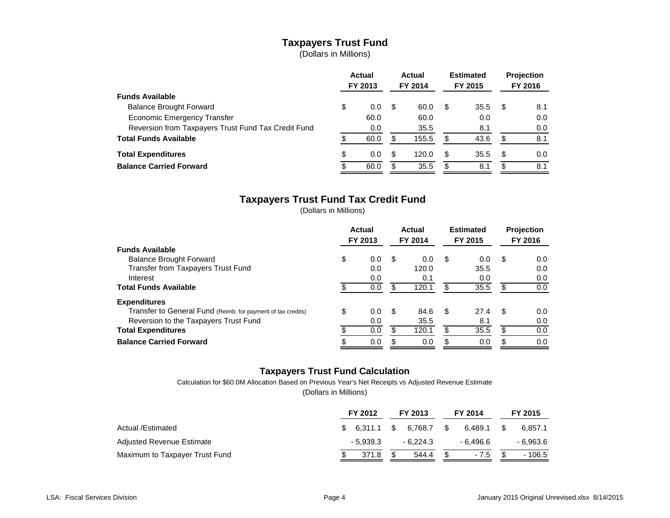# **Taxpayers Trust Fund**

(Dollars in Millions)

|                                                     | <b>Actual</b><br>FY 2013 |      | Actual<br>FY 2014 |       | <b>Estimated</b><br>FY 2015 |      | <b>Projection</b><br>FY 2016 |     |
|-----------------------------------------------------|--------------------------|------|-------------------|-------|-----------------------------|------|------------------------------|-----|
| <b>Funds Available</b>                              |                          |      |                   |       |                             |      |                              |     |
| <b>Balance Brought Forward</b>                      | \$                       | 0.0  | \$                | 60.0  | \$.                         | 35.5 | \$.                          | 8.1 |
| Economic Emergency Transfer                         |                          | 60.0 |                   | 60.0  |                             | 0.0  |                              | 0.0 |
| Reversion from Taxpayers Trust Fund Tax Credit Fund |                          | 0.0  |                   | 35.5  |                             | 8.1  |                              | 0.0 |
| <b>Total Funds Available</b>                        |                          | 60.0 | \$                | 155.5 | S                           | 43.6 | \$.                          | 8.1 |
| <b>Total Expenditures</b>                           | \$                       | 0.0  | \$                | 120.0 | S                           | 35.5 | \$.                          | 0.0 |
| <b>Balance Carried Forward</b>                      |                          | 60.0 | \$                | 35.5  | S.                          | 8.1  | \$.                          | 8.1 |

## **Taxpayers Trust Fund Tax Credit Fund**

(Dollars in Millions)

|                                                              | Actual<br>FY 2013 |   | Actual<br>FY 2014 |     | <b>Estimated</b><br>FY 2015 |      | Projection<br>FY 2016 |
|--------------------------------------------------------------|-------------------|---|-------------------|-----|-----------------------------|------|-----------------------|
| <b>Funds Available</b>                                       |                   |   |                   |     |                             |      |                       |
| <b>Balance Brought Forward</b>                               | \$<br>0.0         | S | 0.0               | \$  | 0.0                         | - \$ | 0.0                   |
| Transfer from Taxpayers Trust Fund                           | 0.0               |   | 120.0             |     | 35.5                        |      | 0.0                   |
| Interest                                                     | 0.0               |   | 0.1               |     | 0.0                         |      | 0.0                   |
| <b>Total Funds Available</b>                                 | 0.0               |   | 120.1             |     | 35.5                        |      | 0.0                   |
| <b>Expenditures</b>                                          |                   |   |                   |     |                             |      |                       |
| Transfer to General Fund (Reimb. for payment of tax credits) | \$<br>0.0         | S | 84.6              | \$. | 27.4                        | - \$ | 0.0                   |
| Reversion to the Taxpayers Trust Fund                        | 0.0               |   | 35.5              |     | 8.1                         |      | 0.0                   |
| <b>Total Expenditures</b>                                    | 0.0               |   | 120.1             |     | 35.5                        | S    | 0.0                   |
| <b>Balance Carried Forward</b>                               | 0.0               |   | 0.0               |     | 0.0                         |      | 0.0                   |

### **Taxpayers Trust Fund Calculation**

Calculation for \$60.0M Allocation Based on Previous Year's Net Receipts vs Adjusted Revenue Estimate

|                                | FY 2012   | FY 2013               | FY 2014       | FY 2015   |
|--------------------------------|-----------|-----------------------|---------------|-----------|
| Actual /Estimated              |           | $$6.311.1$ $$6.768.7$ | 6.489.1<br>S. | 6.857.1   |
| Adjusted Revenue Estimate      | - 5.939.3 | - 6.224.3             | - 6.496.6     | - 6.963.6 |
| Maximum to Taxpayer Trust Fund | 371.8     | 544.4                 | $-7.5$        | - 106.5   |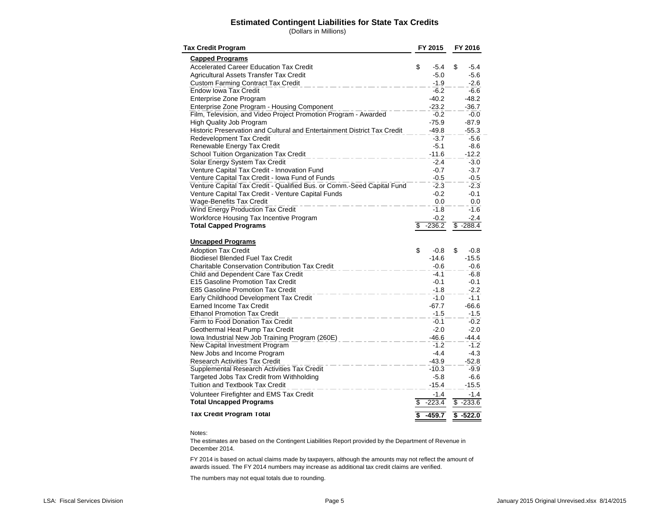#### **Estimated Contingent Liabilities for State Tax Credits**

(Dollars in Millions)

| <b>Tax Credit Program</b>                                                                                                 |    | FY 2015           |    | FY 2016          |
|---------------------------------------------------------------------------------------------------------------------------|----|-------------------|----|------------------|
| <b>Capped Programs</b>                                                                                                    |    |                   |    |                  |
| <b>Accelerated Career Education Tax Credit</b>                                                                            | \$ | $-5.4$            | \$ | $-5.4$           |
| Agricultural Assets Transfer Tax Credit                                                                                   |    | $-5.0$            |    | $-5.6$           |
| <b>Custom Farming Contract Tax Credit</b>                                                                                 |    | $-1.9$            |    | $-2.6$           |
| <b>Endow Iowa Tax Credit</b>                                                                                              |    | $-6.2$            |    | $-6.6$           |
| Enterprise Zone Program                                                                                                   |    | $-40.2$           |    | $-48.2$          |
| Enterprise Zone Program - Housing Component                                                                               |    | $-23.2$           |    | $-36.7$          |
| Film, Television, and Video Project Promotion Program - Awarded                                                           |    | $-0.2$            |    | $-0.0$           |
| <b>High Quality Job Program</b>                                                                                           |    | $-75.9$           |    | $-87.9$          |
| Historic Preservation and Cultural and Entertainment District Tax Credit                                                  |    | $-49.8$           |    | $-55.3$          |
| <b>Redevelopment Tax Credit</b>                                                                                           |    | $-3.7$            |    | $-5.6$           |
| Renewable Energy Tax Credit                                                                                               |    | $-5.1$            |    | $-8.6$           |
| School Tuition Organization Tax Credit                                                                                    |    | $-11.6$           |    | $-12.2$          |
| Solar Energy System Tax Credit                                                                                            |    | $-2.4$            |    | $-3.0$           |
| Venture Capital Tax Credit - Innovation Fund                                                                              |    | $-0.7$            |    | $-3.7$           |
| Venture Capital Tax Credit - Iowa Fund of Funds<br>Venture Capital Tax Credit - Qualified Bus. or Comm.-Seed Capital Fund |    | $-0.5$<br>$-2.3$  |    | $-0.5$<br>$-2.3$ |
| Venture Capital Tax Credit - Venture Capital Funds                                                                        |    | $-0.2$            |    | $-0.1$           |
| <b>Wage-Benefits Tax Credit</b>                                                                                           |    | 0.0               |    | 0.0              |
| <b>Wind Energy Production Tax Credit</b>                                                                                  |    | $-1.8$            |    | -1.6             |
| Workforce Housing Tax Incentive Program                                                                                   |    | $-0.2$            |    | -2.4             |
| <b>Total Capped Programs</b>                                                                                              | \$ | $-236.2$          |    | $$ -288.4$       |
|                                                                                                                           |    |                   |    |                  |
| <b>Uncapped Programs</b>                                                                                                  |    |                   |    |                  |
| <b>Adoption Tax Credit</b>                                                                                                | \$ | $-0.8$            | \$ | $-0.8$           |
| <b>Biodiesel Blended Fuel Tax Credit</b>                                                                                  |    | $-14.6$           |    | $-15.5$          |
| <b>Charitable Conservation Contribution Tax Credit</b>                                                                    |    | $-0.6$            |    | -0.6             |
| Child and Dependent Care Tax Credit                                                                                       |    | -4.1              |    | $-6.8$           |
| E15 Gasoline Promotion Tax Credit                                                                                         |    | $-0.1$            |    | $-0.1$           |
| E85 Gasoline Promotion Tax Credit                                                                                         |    | $-1.8$            |    | $-2.2$           |
| Early Childhood Development Tax Credit                                                                                    |    | -1.0              |    | $-1.1$           |
| <b>Earned Income Tax Credit</b>                                                                                           |    | -67.7             |    | $-66.6$          |
| <b>Ethanol Promotion Tax Credit</b>                                                                                       |    | $-1.5$            |    | -1.5             |
| Farm to Food Donation Tax Credit                                                                                          |    | $-0.1$            |    | $-0.2$           |
| Geothermal Heat Pump Tax Credit                                                                                           |    | $-2.0$            |    | $-2.0$           |
| Iowa Industrial New Job Training Program (260E)                                                                           |    | $-46.6$           |    | $-44.4$          |
| New Capital Investment Program                                                                                            |    | $-1.2$            |    | $-1.2$           |
| New Jobs and Income Program                                                                                               |    | $-4.4$            |    | -4.3             |
| <b>Research Activities Tax Credit</b>                                                                                     |    | $-43.9$           |    | $-52.8$          |
| Supplemental Research Activities Tax Credit                                                                               |    | $-10.3$           |    | $-9.9$           |
| Targeted Jobs Tax Credit from Withholding<br>Tuition and Textbook Tax Credit                                              |    | $-5.8$<br>$-15.4$ |    | $-6.6$           |
|                                                                                                                           |    |                   |    | $-15.5$          |
| Volunteer Firefighter and EMS Tax Credit                                                                                  |    | $-1.4$            |    | $-1.4$           |
| <b>Total Uncapped Programs</b>                                                                                            | \$ | $-223.4$          | \$ | $-233.6$         |
| <b>Tax Credit Program Total</b>                                                                                           | \$ | $-459.7$          | \$ | $-522.0$         |

#### Notes:

The estimates are based on the Contingent Liabilities Report provided by the Department of Revenue in December 2014.

FY 2014 is based on actual claims made by taxpayers, although the amounts may not reflect the amount of awards issued. The FY 2014 numbers may increase as additional tax credit claims are verified.

The numbers may not equal totals due to rounding.